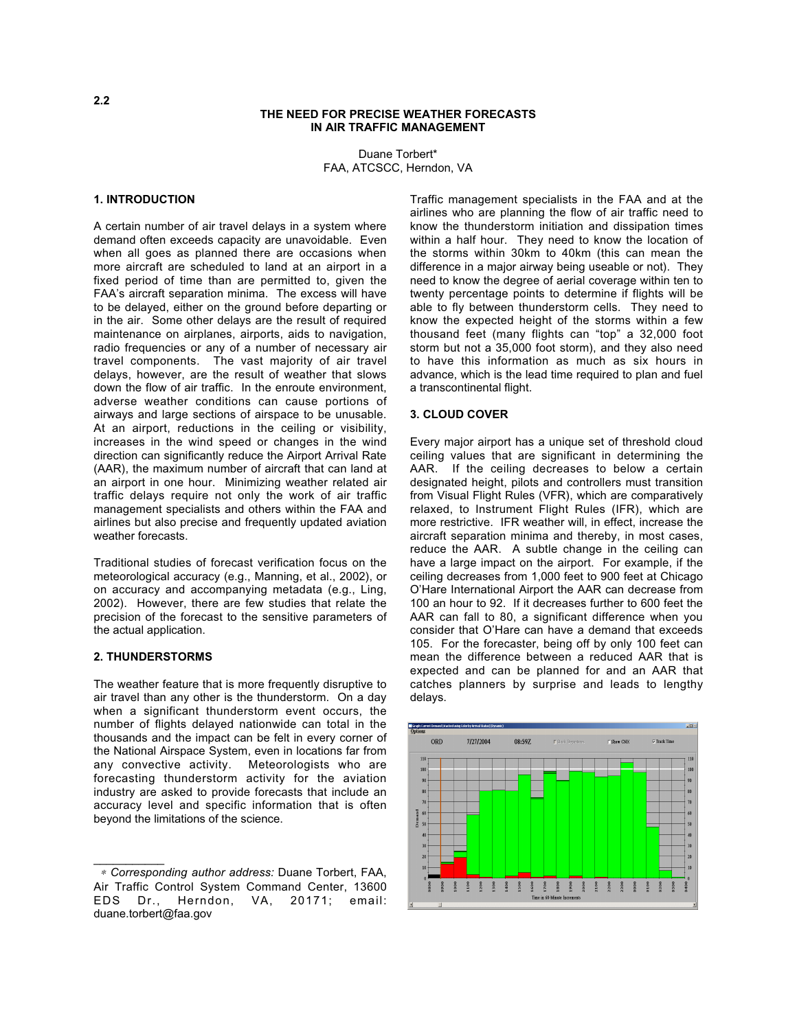### **THE NEED FOR PRECISE WEATHER FORECASTS IN AIR TRAFFIC MANAGEMENT**

Duane Torbert\* FAA, ATCSCC, Herndon, VA

## **1. INTRODUCTION**

A certain number of air travel delays in a system where demand often exceeds capacity are unavoidable. Even when all goes as planned there are occasions when more aircraft are scheduled to land at an airport in a fixed period of time than are permitted to, given the FAA's aircraft separation minima. The excess will have to be delayed, either on the ground before departing or in the air. Some other delays are the result of required maintenance on airplanes, airports, aids to navigation, radio frequencies or any of a number of necessary air travel components. The vast majority of air travel delays, however, are the result of weather that slows down the flow of air traffic. In the enroute environment, adverse weather conditions can cause portions of airways and large sections of airspace to be unusable. At an airport, reductions in the ceiling or visibility, increases in the wind speed or changes in the wind direction can significantly reduce the Airport Arrival Rate (AAR), the maximum number of aircraft that can land at an airport in one hour. Minimizing weather related air traffic delays require not only the work of air traffic management specialists and others within the FAA and airlines but also precise and frequently updated aviation weather forecasts.

Traditional studies of forecast verification focus on the meteorological accuracy (e.g., Manning, et al., 2002), or on accuracy and accompanying metadata (e.g., Ling, 2002). However, there are few studies that relate the precision of the forecast to the sensitive parameters of the actual application.

## **2. THUNDERSTORMS**

 $\mathcal{L}_\text{max}$ 

The weather feature that is more frequently disruptive to air travel than any other is the thunderstorm. On a day when a significant thunderstorm event occurs, the number of flights delayed nationwide can total in the thousands and the impact can be felt in every corner of the National Airspace System, even in locations far from any convective activity. Meteorologists who are forecasting thunderstorm activity for the aviation industry are asked to provide forecasts that include an accuracy level and specific information that is often beyond the limitations of the science.

Traffic management specialists in the FAA and at the airlines who are planning the flow of air traffic need to know the thunderstorm initiation and dissipation times within a half hour. They need to know the location of the storms within 30km to 40km (this can mean the difference in a major airway being useable or not). They need to know the degree of aerial coverage within ten to twenty percentage points to determine if flights will be able to fly between thunderstorm cells. They need to know the expected height of the storms within a few thousand feet (many flights can "top" a 32,000 foot storm but not a 35,000 foot storm), and they also need to have this information as much as six hours in advance, which is the lead time required to plan and fuel a transcontinental flight.

#### **3. CLOUD COVER**

Every major airport has a unique set of threshold cloud ceiling values that are significant in determining the AAR. If the ceiling decreases to below a certain designated height, pilots and controllers must transition from Visual Flight Rules (VFR), which are comparatively relaxed, to Instrument Flight Rules (IFR), which are more restrictive. IFR weather will, in effect, increase the aircraft separation minima and thereby, in most cases, reduce the AAR. A subtle change in the ceiling can have a large impact on the airport. For example, if the ceiling decreases from 1,000 feet to 900 feet at Chicago O'Hare International Airport the AAR can decrease from 100 an hour to 92. If it decreases further to 600 feet the AAR can fall to 80, a significant difference when you consider that O'Hare can have a demand that exceeds 105. For the forecaster, being off by only 100 feet can mean the difference between a reduced AAR that is expected and can be planned for and an AAR that catches planners by surprise and leads to lengthy delays.



<sup>∗</sup> *Corresponding author address:* Duane Torbert, FAA, Air Traffic Control System Command Center, 13600<br>EDS Dr., Herndon, VA, 20171; email: Herndon, VA, 20171; email: duane.torbert@faa.gov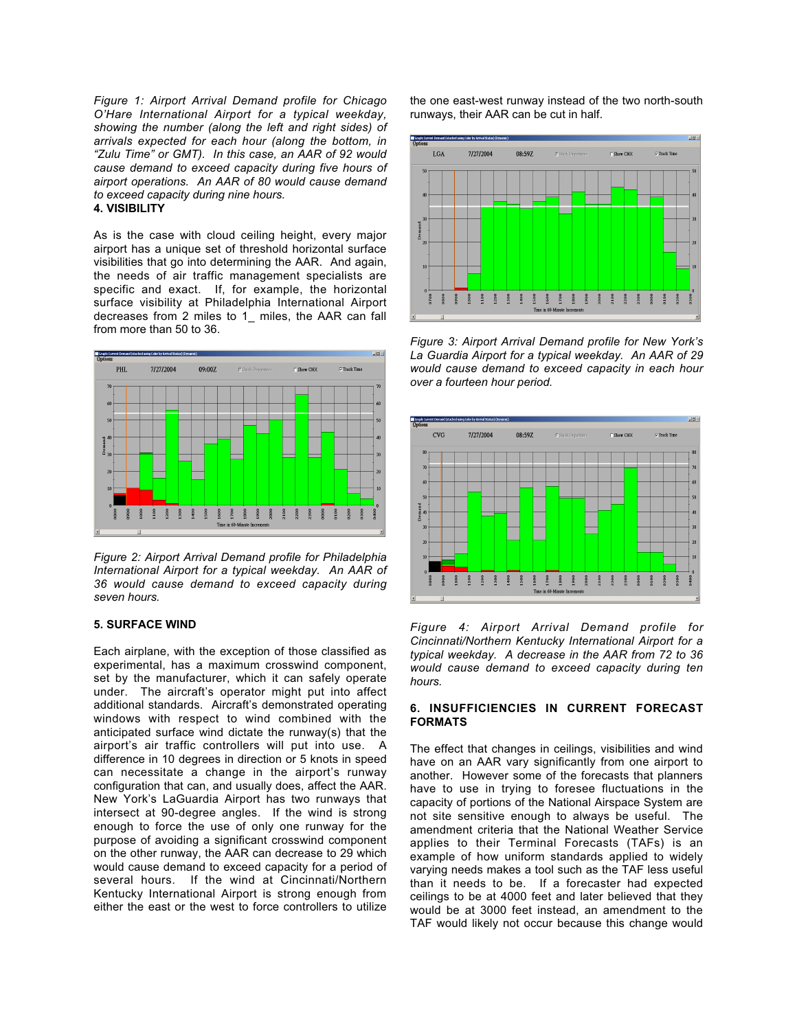*Figure 1: Airport Arrival Demand profile for Chicago O'Hare International Airport for a typical weekday, showing the number (along the left and right sides) of arrivals expected for each hour (along the bottom, in "Zulu Time" or GMT). In this case, an AAR of 92 would cause demand to exceed capacity during five hours of airport operations. An AAR of 80 would cause demand to exceed capacity during nine hours.* **4. VISIBILITY**

As is the case with cloud ceiling height, every major airport has a unique set of threshold horizontal surface visibilities that go into determining the AAR. And again, the needs of air traffic management specialists are specific and exact. If, for example, the horizontal surface visibility at Philadelphia International Airport decreases from 2 miles to 1\_ miles, the AAR can fall from more than 50 to 36.



*Figure 2: Airport Arrival Demand profile for Philadelphia International Airport for a typical weekday. An AAR of 36 would cause demand to exceed capacity during seven hours.*

# **5. SURFACE WIND**

Each airplane, with the exception of those classified as experimental, has a maximum crosswind component, set by the manufacturer, which it can safely operate under. The aircraft's operator might put into affect additional standards. Aircraft's demonstrated operating windows with respect to wind combined with the anticipated surface wind dictate the runway(s) that the airport's air traffic controllers will put into use. A difference in 10 degrees in direction or 5 knots in speed can necessitate a change in the airport's runway configuration that can, and usually does, affect the AAR. New York's LaGuardia Airport has two runways that intersect at 90-degree angles. If the wind is strong enough to force the use of only one runway for the purpose of avoiding a significant crosswind component on the other runway, the AAR can decrease to 29 which would cause demand to exceed capacity for a period of several hours. If the wind at Cincinnati/Northern Kentucky International Airport is strong enough from either the east or the west to force controllers to utilize

the one east-west runway instead of the two north-south runways, their AAR can be cut in half.



*Figure 3: Airport Arrival Demand profile for New York's La Guardia Airport for a typical weekday. An AAR of 29 would cause demand to exceed capacity in each hour over a fourteen hour period.*



*Figure 4: Airport Arrival Demand profile for Cincinnati/Northern Kentucky International Airport for a typical weekday. A decrease in the AAR from 72 to 36 would cause demand to exceed capacity during ten hours.*

## **6. INSUFFICIENCIES IN CURRENT FORECAST FORMATS**

The effect that changes in ceilings, visibilities and wind have on an AAR vary significantly from one airport to another. However some of the forecasts that planners have to use in trying to foresee fluctuations in the capacity of portions of the National Airspace System are not site sensitive enough to always be useful. The amendment criteria that the National Weather Service applies to their Terminal Forecasts (TAFs) is an example of how uniform standards applied to widely varying needs makes a tool such as the TAF less useful than it needs to be. If a forecaster had expected ceilings to be at 4000 feet and later believed that they would be at 3000 feet instead, an amendment to the TAF would likely not occur because this change would